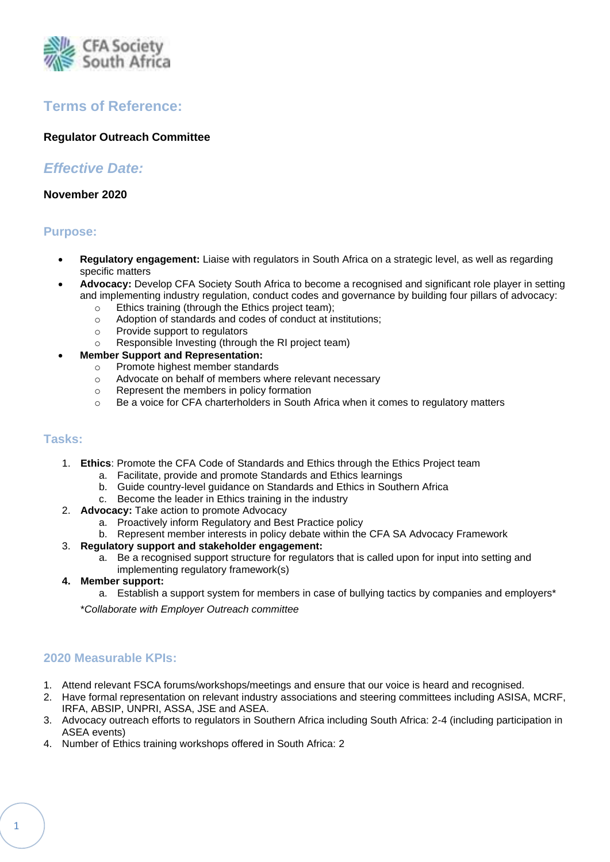

# **Terms of Reference:**

## **Regulator Outreach Committee**

## *Effective Date:*

#### **November 2020**

## **Purpose:**

- **Regulatory engagement:** Liaise with regulators in South Africa on a strategic level, as well as regarding specific matters
- **Advocacy:** Develop CFA Society South Africa to become a recognised and significant role player in setting and implementing industry regulation, conduct codes and governance by building four pillars of advocacy:
	- o Ethics training (through the Ethics project team);
	- o Adoption of standards and codes of conduct at institutions;
	- o Provide support to regulators
	- o Responsible Investing (through the RI project team)

## • **Member Support and Representation:**

- o Promote highest member standards
- o Advocate on behalf of members where relevant necessary
- o Represent the members in policy formation
- $\circ$  Be a voice for CFA charterholders in South Africa when it comes to regulatory matters

#### **Tasks:**

- 1. **Ethics**: Promote the CFA Code of Standards and Ethics through the Ethics Project team
	- a. Facilitate, provide and promote Standards and Ethics learnings
	- b. Guide country-level guidance on Standards and Ethics in Southern Africa
	- c. Become the leader in Ethics training in the industry
- 2. **Advocacy:** Take action to promote Advocacy
	- a. Proactively inform Regulatory and Best Practice policy
	- b. Represent member interests in policy debate within the CFA SA Advocacy Framework
- 3. **Regulatory support and stakeholder engagement:** 
	- a. Be a recognised support structure for regulators that is called upon for input into setting and implementing regulatory framework(s)
- **4. Member support:** 
	- a. Establish a support system for members in case of bullying tactics by companies and employers\*

\**Collaborate with Employer Outreach committee*

## **2020 Measurable KPIs:**

- 1. Attend relevant FSCA forums/workshops/meetings and ensure that our voice is heard and recognised.
- 2. Have formal representation on relevant industry associations and steering committees including ASISA, MCRF, IRFA, ABSIP, UNPRI, ASSA, JSE and ASEA.
- 3. Advocacy outreach efforts to regulators in Southern Africa including South Africa: 2-4 (including participation in ASEA events)
- 4. Number of Ethics training workshops offered in South Africa: 2